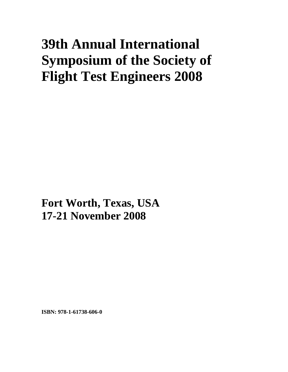## **39th Annual International Symposium of the Society of Flight Test Engineers 2008**

**Fort Worth, Texas, USA 17-21 November 2008**

**ISBN: 978-1-61738-606-0**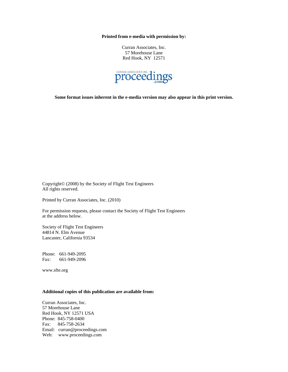**Printed from e-media with permission by:** 

Curran Associates, Inc. 57 Morehouse Lane Red Hook, NY 12571



**Some format issues inherent in the e-media version may also appear in this print version.** 

Copyright© (2008) by the Society of Flight Test Engineers All rights reserved.

Printed by Curran Associates, Inc. (2010)

For permission requests, please contact the Society of Flight Test Engineers at the address below.

Society of Flight Test Engineers 44814 N. Elm Avenue Lancaster, California 93534

Phone: 661-949-2095 Fax: 661-949-2096

www.sfte.org

## **Additional copies of this publication are available from:**

Curran Associates, Inc. 57 Morehouse Lane Red Hook, NY 12571 USA Phone: 845-758-0400 Fax: 845-758-2634 Email: curran@proceedings.com Web: www.proceedings.com